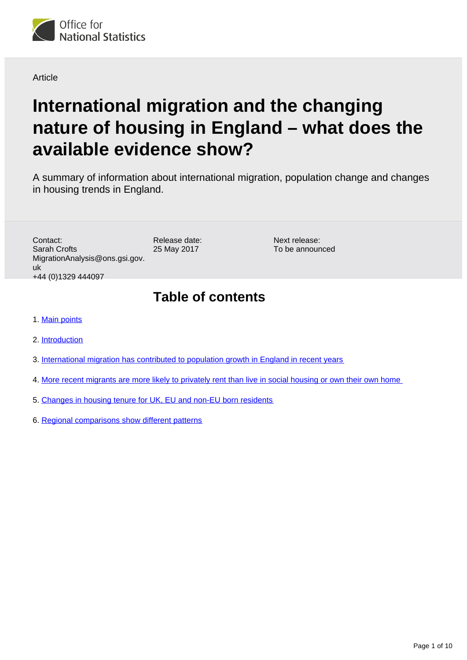

Article

# **International migration and the changing nature of housing in England – what does the available evidence show?**

A summary of information about international migration, population change and changes in housing trends in England.

Contact: Sarah Crofts MigrationAnalysis@ons.gsi.gov. uk +44 (0)1329 444097

Release date: 25 May 2017

Next release: To be announced

## **Table of contents**

- 1. [Main points](#page-1-0)
- 2. [Introduction](#page-1-1)
- 3. [International migration has contributed to population growth in England in recent years](#page-2-0)
- 4. [More recent migrants are more likely to privately rent than live in social housing or own their own home](#page-4-0)
- 5. [Changes in housing tenure for UK, EU and non-EU born residents](#page-5-0)
- 6. [Regional comparisons show different patterns](#page-7-0)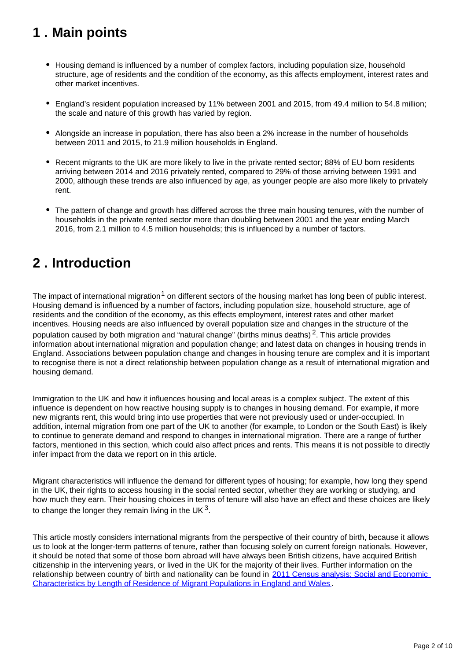## <span id="page-1-0"></span>**1 . Main points**

- Housing demand is influenced by a number of complex factors, including population size, household structure, age of residents and the condition of the economy, as this affects employment, interest rates and other market incentives.
- England's resident population increased by 11% between 2001 and 2015, from 49.4 million to 54.8 million; the scale and nature of this growth has varied by region.
- Alongside an increase in population, there has also been a 2% increase in the number of households between 2011 and 2015, to 21.9 million households in England.
- Recent migrants to the UK are more likely to live in the private rented sector; 88% of EU born residents arriving between 2014 and 2016 privately rented, compared to 29% of those arriving between 1991 and 2000, although these trends are also influenced by age, as younger people are also more likely to privately rent.
- The pattern of change and growth has differed across the three main housing tenures, with the number of households in the private rented sector more than doubling between 2001 and the year ending March 2016, from 2.1 million to 4.5 million households; this is influenced by a number of factors.

## <span id="page-1-1"></span>**2 . Introduction**

The impact of international migration<sup>1</sup> on different sectors of the housing market has long been of public interest. Housing demand is influenced by a number of factors, including population size, household structure, age of residents and the condition of the economy, as this effects employment, interest rates and other market incentives. Housing needs are also influenced by overall population size and changes in the structure of the population caused by both migration and "natural change" (births minus deaths)<sup>2</sup>. This article provides information about international migration and population change; and latest data on changes in housing trends in England. Associations between population change and changes in housing tenure are complex and it is important to recognise there is not a direct relationship between population change as a result of international migration and housing demand.

Immigration to the UK and how it influences housing and local areas is a complex subject. The extent of this influence is dependent on how reactive housing supply is to changes in housing demand. For example, if more new migrants rent, this would bring into use properties that were not previously used or under-occupied. In addition, internal migration from one part of the UK to another (for example, to London or the South East) is likely to continue to generate demand and respond to changes in international migration. There are a range of further factors, mentioned in this section, which could also affect prices and rents. This means it is not possible to directly infer impact from the data we report on in this article.

Migrant characteristics will influence the demand for different types of housing; for example, how long they spend in the UK, their rights to access housing in the social rented sector, whether they are working or studying, and how much they earn. Their housing choices in terms of tenure will also have an effect and these choices are likely to change the longer they remain living in the UK  $^3$ .

This article mostly considers international migrants from the perspective of their country of birth, because it allows us to look at the longer-term patterns of tenure, rather than focusing solely on current foreign nationals. However, it should be noted that some of those born abroad will have always been British citizens, have acquired British citizenship in the intervening years, or lived in the UK for the majority of their lives. Further information on the relationship between country of birth and nationality can be found in [2011 Census analysis: Social and Economic](https://www.ons.gov.uk/peoplepopulationandcommunity/populationandmigration/internationalmigration/articles/2011censusanalysissocialandeconomiccharacteristicsbylengthofresidenceofmigrantpopulationsinenglandandwales/2014-11-04)  [Characteristics by Length of Residence of Migrant Populations in England and Wales](https://www.ons.gov.uk/peoplepopulationandcommunity/populationandmigration/internationalmigration/articles/2011censusanalysissocialandeconomiccharacteristicsbylengthofresidenceofmigrantpopulationsinenglandandwales/2014-11-04) .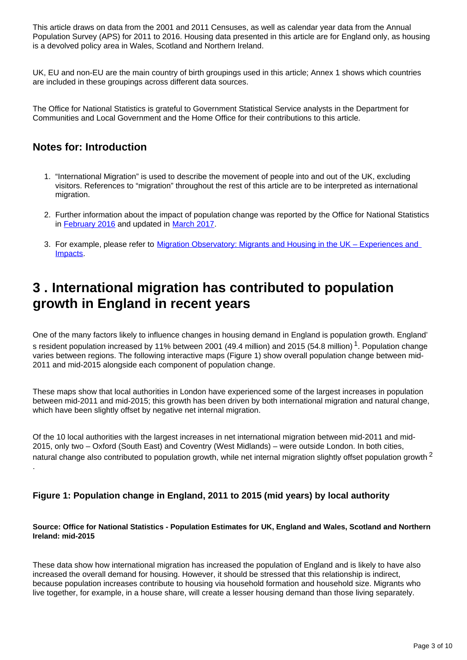This article draws on data from the 2001 and 2011 Censuses, as well as calendar year data from the Annual Population Survey (APS) for 2011 to 2016. Housing data presented in this article are for England only, as housing is a devolved policy area in Wales, Scotland and Northern Ireland.

UK, EU and non-EU are the main country of birth groupings used in this article; Annex 1 shows which countries are included in these groupings across different data sources.

The Office for National Statistics is grateful to Government Statistical Service analysts in the Department for Communities and Local Government and the Home Office for their contributions to this article.

### **Notes for: Introduction**

- 1. "International Migration" is used to describe the movement of people into and out of the UK, excluding visitors. References to "migration" throughout the rest of this article are to be interpreted as international migration.
- 2. Further information about the impact of population change was reported by the Office for National Statistics in [February 2016](https://www.ons.gov.uk/peoplepopulationandcommunity/populationandmigration/populationestimates/articles/overviewoftheukpopulation/february2016) and updated in [March 2017](https://www.ons.gov.uk/peoplepopulationandcommunity/populationandmigration/populationestimates/articles/overviewoftheukpopulation/mar2017).
- 3. For example, please refer to Migration Observatory: Migrants and Housing in the UK Experiences and [Impacts](http://www.migrationobservatory.ox.ac.uk/resources/briefings/migrants-and-housing-in-the-uk-experiences-and-impacts/).

## <span id="page-2-0"></span>**3 . International migration has contributed to population growth in England in recent years**

One of the many factors likely to influence changes in housing demand in England is population growth. England' s resident population increased by 11% between 2001 (49.4 million) and 2015 (54.8 million)<sup>1</sup>. Population change varies between regions. The following interactive maps (Figure 1) show overall population change between mid-2011 and mid-2015 alongside each component of population change.

These maps show that local authorities in London have experienced some of the largest increases in population between mid-2011 and mid-2015; this growth has been driven by both international migration and natural change, which have been slightly offset by negative net internal migration.

Of the 10 local authorities with the largest increases in net international migration between mid-2011 and mid-2015, only two – Oxford (South East) and Coventry (West Midlands) – were outside London. In both cities, natural change also contributed to population growth, while net internal migration slightly offset population growth  $2$ .

### **Figure 1: Population change in England, 2011 to 2015 (mid years) by local authority**

#### **Source: Office for National Statistics - Population Estimates for UK, England and Wales, Scotland and Northern Ireland: mid-2015**

These data show how international migration has increased the population of England and is likely to have also increased the overall demand for housing. However, it should be stressed that this relationship is indirect, because population increases contribute to housing via household formation and household size. Migrants who live together, for example, in a house share, will create a lesser housing demand than those living separately.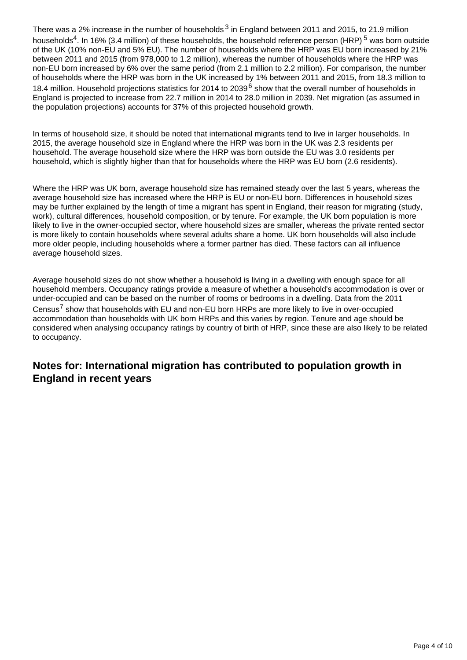There was a 2% increase in the number of households  $3$  in England between 2011 and 2015, to 21.9 million households<sup>4</sup>. In 16% (3.4 million) of these households, the household reference person (HRP)<sup>5</sup> was born outside of the UK (10% non-EU and 5% EU). The number of households where the HRP was EU born increased by 21% between 2011 and 2015 (from 978,000 to 1.2 million), whereas the number of households where the HRP was non-EU born increased by 6% over the same period (from 2.1 million to 2.2 million). For comparison, the number of households where the HRP was born in the UK increased by 1% between 2011 and 2015, from 18.3 million to 18.4 million. Household projections statistics for 2014 to 2039<sup>6</sup> show that the overall number of households in England is projected to increase from 22.7 million in 2014 to 28.0 million in 2039. Net migration (as assumed in the population projections) accounts for 37% of this projected household growth.

In terms of household size, it should be noted that international migrants tend to live in larger households. In 2015, the average household size in England where the HRP was born in the UK was 2.3 residents per household. The average household size where the HRP was born outside the EU was 3.0 residents per household, which is slightly higher than that for households where the HRP was EU born (2.6 residents).

Where the HRP was UK born, average household size has remained steady over the last 5 years, whereas the average household size has increased where the HRP is EU or non-EU born. Differences in household sizes may be further explained by the length of time a migrant has spent in England, their reason for migrating (study, work), cultural differences, household composition, or by tenure. For example, the UK born population is more likely to live in the owner-occupied sector, where household sizes are smaller, whereas the private rented sector is more likely to contain households where several adults share a home. UK born households will also include more older people, including households where a former partner has died. These factors can all influence average household sizes.

Average household sizes do not show whether a household is living in a dwelling with enough space for all household members. Occupancy ratings provide a measure of whether a household's accommodation is over or under-occupied and can be based on the number of rooms or bedrooms in a dwelling. Data from the 2011 Census<sup>7</sup> show that households with EU and non-EU born HRPs are more likely to live in over-occupied accommodation than households with UK born HRPs and this varies by region. Tenure and age should be considered when analysing occupancy ratings by country of birth of HRP, since these are also likely to be related to occupancy.

### **Notes for: International migration has contributed to population growth in England in recent years**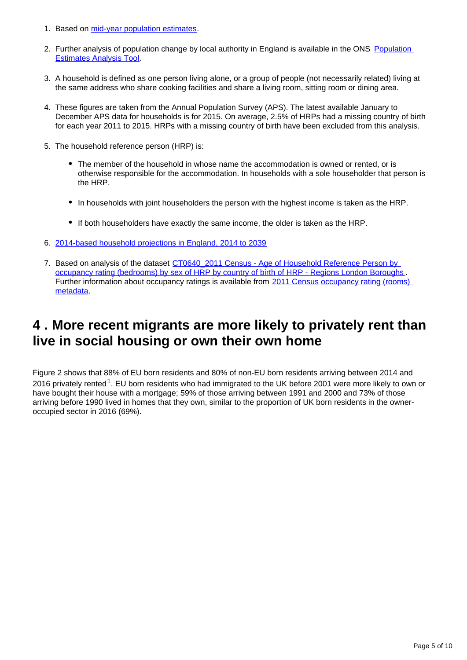- 1. Based on [mid-year population estimates](https://www.ons.gov.uk/file?uri=/peoplepopulationandcommunity/populationandmigration/populationestimates/datasets/populationestimatesforukenglandandwalesscotlandandnorthernireland/mid2015/ukmye2015.zip).
- 2. Further analysis of population change by local authority in England is available in the ONS Population [Estimates Analysis Tool](https://www.ons.gov.uk/peoplepopulationandcommunity/populationandmigration/populationestimates/datasets/populationestimatesanalysistool).
- 3. A household is defined as one person living alone, or a group of people (not necessarily related) living at the same address who share cooking facilities and share a living room, sitting room or dining area.
- 4. These figures are taken from the Annual Population Survey (APS). The latest available January to December APS data for households is for 2015. On average, 2.5% of HRPs had a missing country of birth for each year 2011 to 2015. HRPs with a missing country of birth have been excluded from this analysis.
- 5. The household reference person (HRP) is:
	- The member of the household in whose name the accommodation is owned or rented, or is otherwise responsible for the accommodation. In households with a sole householder that person is the HRP.
	- In households with joint householders the person with the highest income is taken as the HRP.
	- If both householders have exactly the same income, the older is taken as the HRP.
- 6. [2014-based household projections in England, 2014 to 2039](https://www.gov.uk/government/statistics/2014-based-household-projections-in-england-2014-to-2039)
- 7. Based on analysis of the dataset CT0640\_2011 Census Age of Household Reference Person by [occupancy rating \(bedrooms\) by sex of HRP by country of birth of HRP - Regions London Boroughs](https://www.ons.gov.uk/peoplepopulationandcommunity/culturalidentity/ethnicity/adhocs/006240ct06402011censusageofhouseholdreferencepersonbyoccupancyratingbedroomsbysexofhrpbycountryofbirthofhrpregionslondonboroughs) Further information about occupancy ratings is available from 2011 Census occupancy rating (rooms) [metadata.](https://www.nomisweb.co.uk/census/2011/qs408ew.pdf)

## <span id="page-4-0"></span>**4 . More recent migrants are more likely to privately rent than live in social housing or own their own home**

Figure 2 shows that 88% of EU born residents and 80% of non-EU born residents arriving between 2014 and 2016 privately rented<sup>1</sup>. EU born residents who had immigrated to the UK before 2001 were more likely to own or have bought their house with a mortgage; 59% of those arriving between 1991 and 2000 and 73% of those arriving before 1990 lived in homes that they own, similar to the proportion of UK born residents in the owneroccupied sector in 2016 (69%).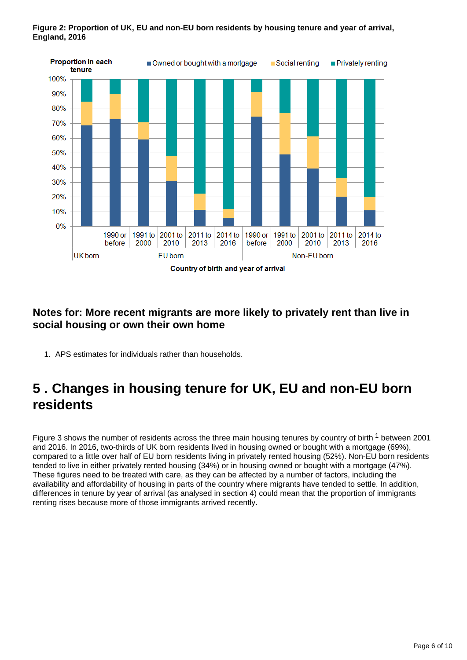

#### **Figure 2: Proportion of UK, EU and non-EU born residents by housing tenure and year of arrival, England, 2016**

### **Notes for: More recent migrants are more likely to privately rent than live in social housing or own their own home**

1. APS estimates for individuals rather than households.

## <span id="page-5-0"></span>**5 . Changes in housing tenure for UK, EU and non-EU born residents**

Figure 3 shows the number of residents across the three main housing tenures by country of birth  $1$  between 2001 and 2016. In 2016, two-thirds of UK born residents lived in housing owned or bought with a mortgage (69%), compared to a little over half of EU born residents living in privately rented housing (52%). Non-EU born residents tended to live in either privately rented housing (34%) or in housing owned or bought with a mortgage (47%). These figures need to be treated with care, as they can be affected by a number of factors, including the availability and affordability of housing in parts of the country where migrants have tended to settle. In addition, differences in tenure by year of arrival (as analysed in section 4) could mean that the proportion of immigrants renting rises because more of those immigrants arrived recently.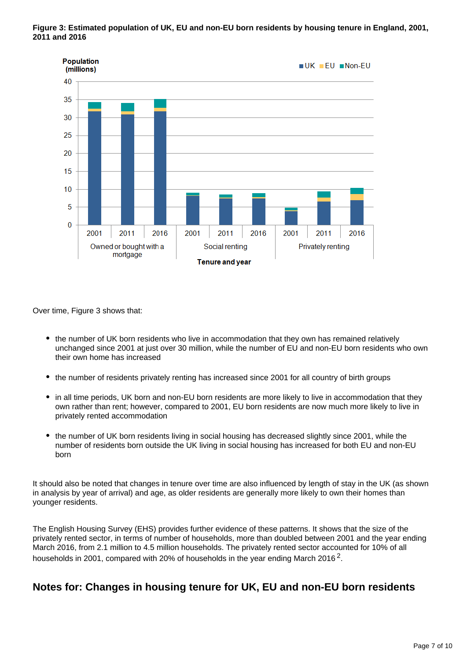**Figure 3: Estimated population of UK, EU and non-EU born residents by housing tenure in England, 2001, 2011 and 2016**



Over time, Figure 3 shows that:

- the number of UK born residents who live in accommodation that they own has remained relatively unchanged since 2001 at just over 30 million, while the number of EU and non-EU born residents who own their own home has increased
- the number of residents privately renting has increased since 2001 for all country of birth groups
- in all time periods, UK born and non-EU born residents are more likely to live in accommodation that they own rather than rent; however, compared to 2001, EU born residents are now much more likely to live in privately rented accommodation
- the number of UK born residents living in social housing has decreased slightly since 2001, while the number of residents born outside the UK living in social housing has increased for both EU and non-EU born

It should also be noted that changes in tenure over time are also influenced by length of stay in the UK (as shown in analysis by year of arrival) and age, as older residents are generally more likely to own their homes than younger residents.

The English Housing Survey (EHS) provides further evidence of these patterns. It shows that the size of the privately rented sector, in terms of number of households, more than doubled between 2001 and the year ending March 2016, from 2.1 million to 4.5 million households. The privately rented sector accounted for 10% of all households in 2001, compared with 20% of households in the year ending March 2016<sup>2</sup>.

### **Notes for: Changes in housing tenure for UK, EU and non-EU born residents**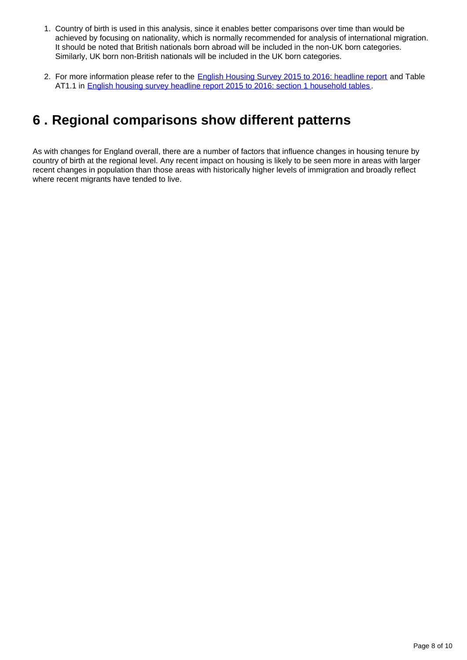- 1. Country of birth is used in this analysis, since it enables better comparisons over time than would be achieved by focusing on nationality, which is normally recommended for analysis of international migration. It should be noted that British nationals born abroad will be included in the non-UK born categories. Similarly, UK born non-British nationals will be included in the UK born categories.
- 2. For more information please refer to the [English Housing Survey 2015 to 2016: headline report](https://www.gov.uk/government/statistics/english-housing-survey-2015-to-2016-headline-report) and Table AT1.1 in [English housing survey headline report 2015 to 2016: section 1 household tables](https://www.gov.uk/government/uploads/system/uploads/attachment_data/file/595786/2015-16_Section_1_Households_Annex_Tables.xlsx) .

## <span id="page-7-0"></span>**6 . Regional comparisons show different patterns**

As with changes for England overall, there are a number of factors that influence changes in housing tenure by country of birth at the regional level. Any recent impact on housing is likely to be seen more in areas with larger recent changes in population than those areas with historically higher levels of immigration and broadly reflect where recent migrants have tended to live.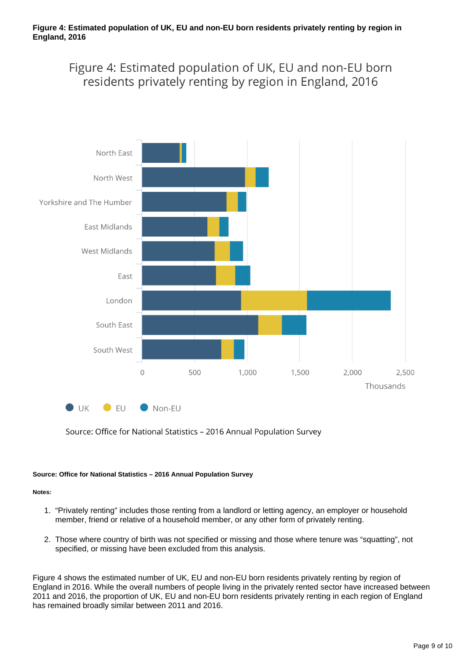Figure 4: Estimated population of UK, EU and non-EU born residents privately renting by region in England, 2016



Source: Office for National Statistics - 2016 Annual Population Survey

#### **Source: Office for National Statistics – 2016 Annual Population Survey**

#### **Notes:**

- 1. "Privately renting" includes those renting from a landlord or letting agency, an employer or household member, friend or relative of a household member, or any other form of privately renting.
- 2. Those where country of birth was not specified or missing and those where tenure was "squatting", not specified, or missing have been excluded from this analysis.

Figure 4 shows the estimated number of UK, EU and non-EU born residents privately renting by region of England in 2016. While the overall numbers of people living in the privately rented sector have increased between 2011 and 2016, the proportion of UK, EU and non-EU born residents privately renting in each region of England has remained broadly similar between 2011 and 2016.